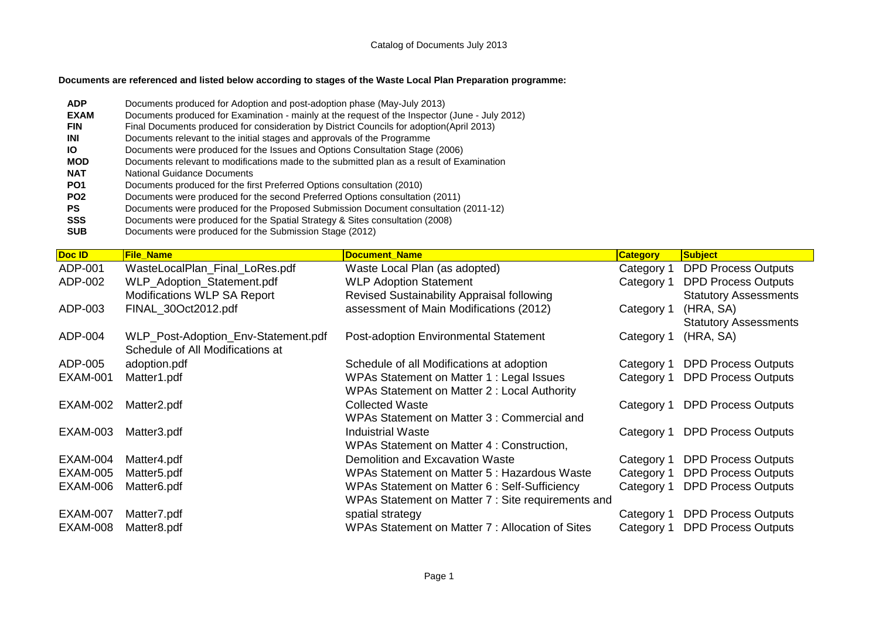## **Documents are referenced and listed below according to stages of the Waste Local Plan Preparation programme:**

- **ADP** Documents produced for Adoption and post-adoption phase (May-July 2013)<br>**EXAM** Documents produced for Examination mainly at the request of the Inspector Documents produced for Examination - mainly at the request of the Inspector (June - July 2012) **FIN** Final Documents produced for consideration by District Councils for adoption(April 2013) **INI** Documents relevant to the initial stages and approvals of the Programme **IO** Documents were produced for the Issues and Options Consultation Stage (2006) **MOD** Documents relevant to modifications made to the submitted plan as a result of Examination **NAT** National Guidance Documents **PO1** Documents produced for the first Preferred Options consultation (2010)<br>**PO2** Documents were produced for the second Preferred Options consultation **PO2** Documents were produced for the second Preferred Options consultation (2011) **PS** Documents were produced for the Proposed Submission Document consultation (2011-12)<br>**SSS** Documents were produced for the Spatial Strategy & Sites consultation (2008)
- **SSS** Documents were produced for the Spatial Strategy & Sites consultation (2008)<br>**SUB** Documents were produced for the Submission Stage (2012) Documents were produced for the Submission Stage (2012)

| Doc ID          | <b>File Name</b>                    | <b>Document Name</b>                               |                 | <b>Subject</b>               |
|-----------------|-------------------------------------|----------------------------------------------------|-----------------|------------------------------|
|                 |                                     |                                                    | <b>Category</b> |                              |
| ADP-001         | WasteLocalPlan_Final_LoRes.pdf      | Waste Local Plan (as adopted)                      | Category 1      | <b>DPD Process Outputs</b>   |
| ADP-002         | WLP_Adoption_Statement.pdf          | <b>WLP Adoption Statement</b>                      | Category 1      | <b>DPD Process Outputs</b>   |
|                 | Modifications WLP SA Report         | Revised Sustainability Appraisal following         |                 | <b>Statutory Assessments</b> |
| ADP-003         | FINAL_30Oct2012.pdf                 | assessment of Main Modifications (2012)            | Category 1      | (HRA, SA)                    |
|                 |                                     |                                                    |                 | <b>Statutory Assessments</b> |
| ADP-004         |                                     |                                                    |                 |                              |
|                 | WLP_Post-Adoption_Env-Statement.pdf | <b>Post-adoption Environmental Statement</b>       | Category 1      | (HRA, SA)                    |
|                 | Schedule of All Modifications at    |                                                    |                 |                              |
| ADP-005         | adoption.pdf                        | Schedule of all Modifications at adoption          | Category 1      | <b>DPD Process Outputs</b>   |
| <b>EXAM-001</b> | Matter1.pdf                         | WPAs Statement on Matter 1: Legal Issues           | Category 1      | <b>DPD Process Outputs</b>   |
|                 |                                     | WPAs Statement on Matter 2 : Local Authority       |                 |                              |
| EXAM-002        | Matter2.pdf                         | <b>Collected Waste</b>                             | Category 1      | <b>DPD Process Outputs</b>   |
|                 |                                     | WPAs Statement on Matter 3 : Commercial and        |                 |                              |
| <b>EXAM-003</b> |                                     | <b>Induistrial Waste</b>                           |                 |                              |
|                 | Matter3.pdf                         |                                                    | Category 1      | <b>DPD Process Outputs</b>   |
|                 |                                     | WPAs Statement on Matter 4 : Construction,         |                 |                              |
| EXAM-004        | Matter4.pdf                         | Demolition and Excavation Waste                    | Category 1      | <b>DPD Process Outputs</b>   |
| <b>EXAM-005</b> | Matter5.pdf                         | WPAs Statement on Matter 5 : Hazardous Waste       | Category 1      | <b>DPD Process Outputs</b>   |
| EXAM-006        | Matter6.pdf                         | WPAs Statement on Matter 6 : Self-Sufficiency      | Category 1      | <b>DPD Process Outputs</b>   |
|                 |                                     | WPAs Statement on Matter 7 : Site requirements and |                 |                              |
| <b>EXAM-007</b> | Matter7.pdf                         | spatial strategy                                   | Category 1      | <b>DPD Process Outputs</b>   |
|                 |                                     |                                                    |                 |                              |
| <b>EXAM-008</b> | Matter8.pdf                         | WPAs Statement on Matter 7: Allocation of Sites    | Category 1      | <b>DPD Process Outputs</b>   |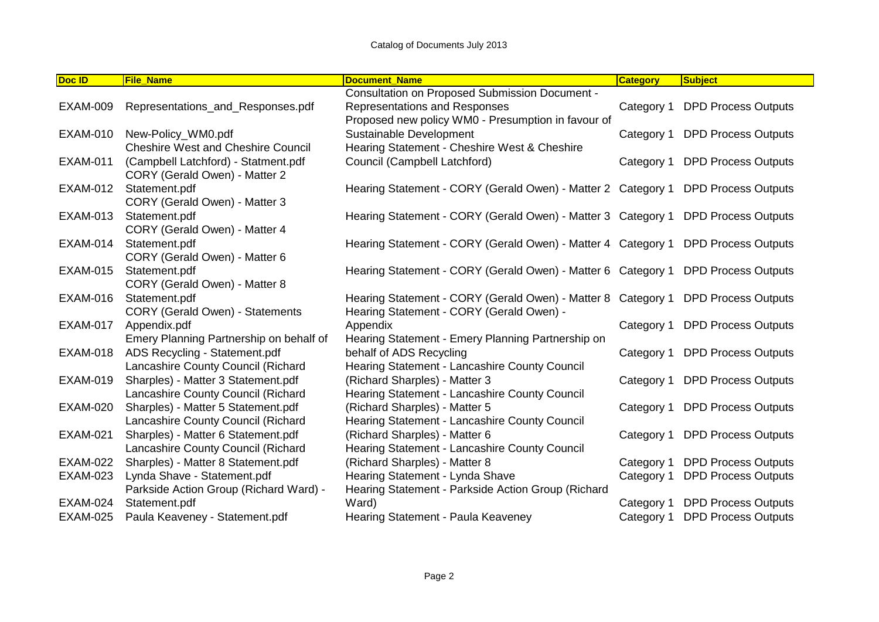| Doc ID          | <b>File Name</b>                          | <b>Document Name</b>                                                             | <b>Category</b> | <b>Subject</b>             |
|-----------------|-------------------------------------------|----------------------------------------------------------------------------------|-----------------|----------------------------|
|                 |                                           | <b>Consultation on Proposed Submission Document -</b>                            |                 |                            |
| <b>EXAM-009</b> | Representations_and_Responses.pdf         | Representations and Responses                                                    | Category 1      | <b>DPD Process Outputs</b> |
|                 |                                           | Proposed new policy WM0 - Presumption in favour of                               |                 |                            |
| <b>EXAM-010</b> | New-Policy_WM0.pdf                        | Sustainable Development                                                          | Category 1      | <b>DPD Process Outputs</b> |
|                 | <b>Cheshire West and Cheshire Council</b> | Hearing Statement - Cheshire West & Cheshire                                     |                 |                            |
| <b>EXAM-011</b> | (Campbell Latchford) - Statment.pdf       | Council (Campbell Latchford)                                                     | Category 1      | <b>DPD Process Outputs</b> |
|                 | CORY (Gerald Owen) - Matter 2             |                                                                                  |                 |                            |
| <b>EXAM-012</b> | Statement.pdf                             | Hearing Statement - CORY (Gerald Owen) - Matter 2 Category 1 DPD Process Outputs |                 |                            |
|                 | CORY (Gerald Owen) - Matter 3             |                                                                                  |                 |                            |
| <b>EXAM-013</b> | Statement.pdf                             | Hearing Statement - CORY (Gerald Owen) - Matter 3 Category 1                     |                 | <b>DPD Process Outputs</b> |
|                 | CORY (Gerald Owen) - Matter 4             |                                                                                  |                 |                            |
| <b>EXAM-014</b> | Statement.pdf                             | Hearing Statement - CORY (Gerald Owen) - Matter 4 Category 1                     |                 | <b>DPD Process Outputs</b> |
|                 | CORY (Gerald Owen) - Matter 6             |                                                                                  |                 |                            |
| <b>EXAM-015</b> | Statement.pdf                             | Hearing Statement - CORY (Gerald Owen) - Matter 6 Category 1 DPD Process Outputs |                 |                            |
|                 | CORY (Gerald Owen) - Matter 8             |                                                                                  |                 |                            |
| EXAM-016        | Statement.pdf                             | Hearing Statement - CORY (Gerald Owen) - Matter 8 Category 1                     |                 | <b>DPD Process Outputs</b> |
|                 | <b>CORY (Gerald Owen) - Statements</b>    | Hearing Statement - CORY (Gerald Owen) -                                         |                 |                            |
| <b>EXAM-017</b> | Appendix.pdf                              | Appendix                                                                         | Category 1      | <b>DPD Process Outputs</b> |
|                 | Emery Planning Partnership on behalf of   | Hearing Statement - Emery Planning Partnership on                                |                 |                            |
| <b>EXAM-018</b> | ADS Recycling - Statement.pdf             | behalf of ADS Recycling                                                          | Category 1      | <b>DPD Process Outputs</b> |
|                 | Lancashire County Council (Richard        | Hearing Statement - Lancashire County Council                                    |                 |                            |
| <b>EXAM-019</b> | Sharples) - Matter 3 Statement.pdf        | (Richard Sharples) - Matter 3                                                    | Category 1      | <b>DPD Process Outputs</b> |
|                 | Lancashire County Council (Richard        | Hearing Statement - Lancashire County Council                                    |                 |                            |
| <b>EXAM-020</b> | Sharples) - Matter 5 Statement.pdf        | (Richard Sharples) - Matter 5                                                    | Category 1      | <b>DPD Process Outputs</b> |
|                 | Lancashire County Council (Richard        | Hearing Statement - Lancashire County Council                                    |                 |                            |
| <b>EXAM-021</b> | Sharples) - Matter 6 Statement.pdf        | (Richard Sharples) - Matter 6                                                    | Category 1      | <b>DPD Process Outputs</b> |
|                 | Lancashire County Council (Richard        | Hearing Statement - Lancashire County Council                                    |                 |                            |
| <b>EXAM-022</b> | Sharples) - Matter 8 Statement.pdf        | (Richard Sharples) - Matter 8                                                    | Category 1      | <b>DPD Process Outputs</b> |
| <b>EXAM-023</b> | Lynda Shave - Statement.pdf               | Hearing Statement - Lynda Shave                                                  | Category 1      | <b>DPD Process Outputs</b> |
|                 | Parkside Action Group (Richard Ward) -    | Hearing Statement - Parkside Action Group (Richard                               |                 |                            |
| <b>EXAM-024</b> | Statement.pdf                             | Ward)                                                                            | Category 1      | <b>DPD Process Outputs</b> |
| <b>EXAM-025</b> | Paula Keaveney - Statement.pdf            | Hearing Statement - Paula Keaveney                                               | Category 1      | <b>DPD Process Outputs</b> |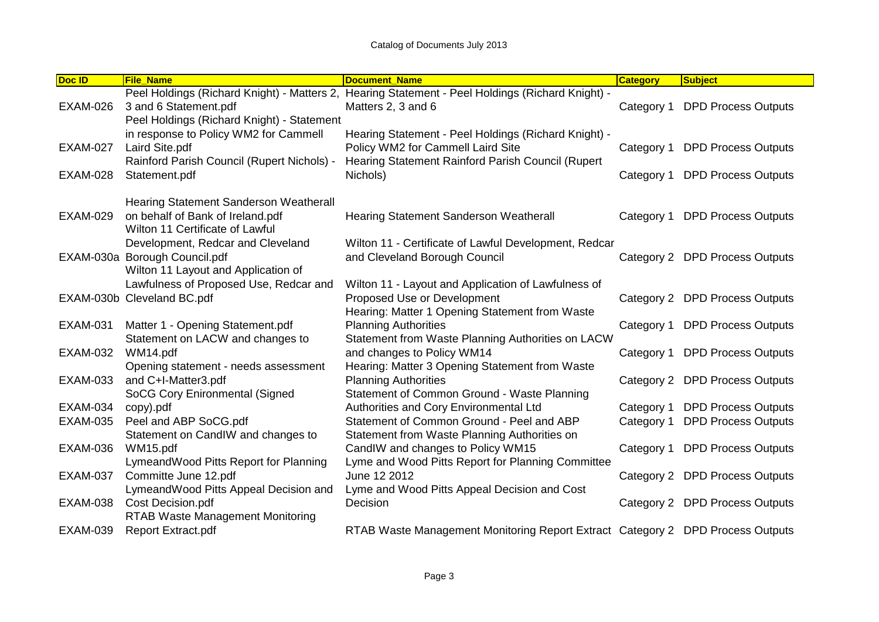| Doc ID          | <b>File Name</b>                                                                                              | <b>Document Name</b>                                                                                                                           | <b>Category</b> | <b>Subject</b>                 |
|-----------------|---------------------------------------------------------------------------------------------------------------|------------------------------------------------------------------------------------------------------------------------------------------------|-----------------|--------------------------------|
| <b>EXAM-026</b> | 3 and 6 Statement.pdf<br>Peel Holdings (Richard Knight) - Statement                                           | Peel Holdings (Richard Knight) - Matters 2, Hearing Statement - Peel Holdings (Richard Knight) -<br>Matters 2, 3 and 6                         | Category 1      | <b>DPD Process Outputs</b>     |
| <b>EXAM-027</b> | in response to Policy WM2 for Cammell<br>Laird Site.pdf<br>Rainford Parish Council (Rupert Nichols) -         | Hearing Statement - Peel Holdings (Richard Knight) -<br>Policy WM2 for Cammell Laird Site<br>Hearing Statement Rainford Parish Council (Rupert | Category 1      | <b>DPD Process Outputs</b>     |
| <b>EXAM-028</b> | Statement.pdf                                                                                                 | Nichols)                                                                                                                                       | Category 1      | <b>DPD Process Outputs</b>     |
| <b>EXAM-029</b> | Hearing Statement Sanderson Weatherall<br>on behalf of Bank of Ireland.pdf<br>Wilton 11 Certificate of Lawful | Hearing Statement Sanderson Weatherall                                                                                                         | Category 1      | <b>DPD Process Outputs</b>     |
|                 | Development, Redcar and Cleveland<br>EXAM-030a Borough Council.pdf<br>Wilton 11 Layout and Application of     | Wilton 11 - Certificate of Lawful Development, Redcar<br>and Cleveland Borough Council                                                         |                 | Category 2 DPD Process Outputs |
|                 | Lawfulness of Proposed Use, Redcar and<br>EXAM-030b Cleveland BC.pdf                                          | Wilton 11 - Layout and Application of Lawfulness of<br>Proposed Use or Development<br>Hearing: Matter 1 Opening Statement from Waste           |                 | Category 2 DPD Process Outputs |
| <b>EXAM-031</b> | Matter 1 - Opening Statement.pdf<br>Statement on LACW and changes to                                          | <b>Planning Authorities</b><br>Statement from Waste Planning Authorities on LACW                                                               | Category 1      | <b>DPD Process Outputs</b>     |
| <b>EXAM-032</b> | WM14.pdf<br>Opening statement - needs assessment                                                              | and changes to Policy WM14<br>Hearing: Matter 3 Opening Statement from Waste                                                                   | Category 1      | <b>DPD Process Outputs</b>     |
| <b>EXAM-033</b> | and C+I-Matter3.pdf<br>SoCG Cory Enironmental (Signed                                                         | <b>Planning Authorities</b><br>Statement of Common Ground - Waste Planning                                                                     |                 | Category 2 DPD Process Outputs |
| <b>EXAM-034</b> | copy).pdf                                                                                                     | Authorities and Cory Environmental Ltd                                                                                                         | Category 1      | <b>DPD Process Outputs</b>     |
| <b>EXAM-035</b> | Peel and ABP SoCG.pdf                                                                                         | Statement of Common Ground - Peel and ABP                                                                                                      | Category 1      | <b>DPD Process Outputs</b>     |
|                 | Statement on CandIW and changes to                                                                            | Statement from Waste Planning Authorities on                                                                                                   |                 |                                |
| <b>EXAM-036</b> | WM15.pdf                                                                                                      | CandlW and changes to Policy WM15                                                                                                              | Category 1      | <b>DPD Process Outputs</b>     |
| <b>EXAM-037</b> | LymeandWood Pitts Report for Planning<br>Committe June 12.pdf<br>LymeandWood Pitts Appeal Decision and        | Lyme and Wood Pitts Report for Planning Committee<br>June 12 2012<br>Lyme and Wood Pitts Appeal Decision and Cost                              |                 | Category 2 DPD Process Outputs |
| <b>EXAM-038</b> | Cost Decision.pdf<br><b>RTAB Waste Management Monitoring</b>                                                  | Decision                                                                                                                                       |                 | Category 2 DPD Process Outputs |
| <b>EXAM-039</b> | <b>Report Extract.pdf</b>                                                                                     | RTAB Waste Management Monitoring Report Extract Category 2 DPD Process Outputs                                                                 |                 |                                |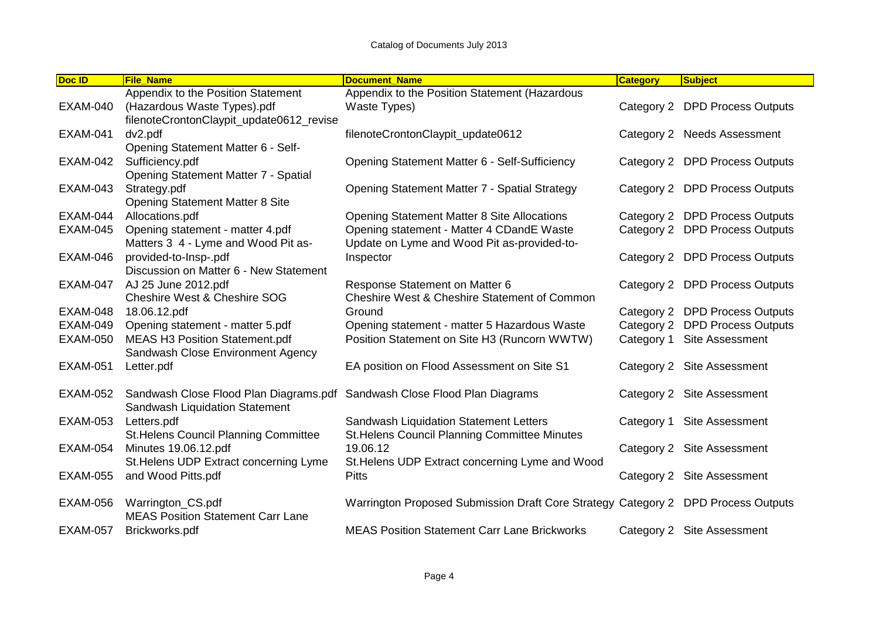| Doc ID          | <b>File Name</b>                                                          | <b>Document Name</b>                                                              | <b>Category</b> | <b>Subject</b>                 |
|-----------------|---------------------------------------------------------------------------|-----------------------------------------------------------------------------------|-----------------|--------------------------------|
|                 | Appendix to the Position Statement                                        | Appendix to the Position Statement (Hazardous                                     |                 |                                |
| <b>EXAM-040</b> | (Hazardous Waste Types).pdf                                               | Waste Types)                                                                      |                 | Category 2 DPD Process Outputs |
|                 | filenoteCrontonClaypit_update0612_revise                                  |                                                                                   |                 |                                |
| <b>EXAM-041</b> | dv2.pdf                                                                   | filenoteCrontonClaypit_update0612                                                 |                 | Category 2 Needs Assessment    |
|                 | Opening Statement Matter 6 - Self-                                        |                                                                                   |                 |                                |
| <b>EXAM-042</b> | Sufficiency.pdf                                                           | Opening Statement Matter 6 - Self-Sufficiency                                     |                 | Category 2 DPD Process Outputs |
|                 | Opening Statement Matter 7 - Spatial                                      |                                                                                   |                 |                                |
| <b>EXAM-043</b> | Strategy.pdf                                                              | Opening Statement Matter 7 - Spatial Strategy                                     |                 | Category 2 DPD Process Outputs |
|                 | <b>Opening Statement Matter 8 Site</b>                                    |                                                                                   |                 |                                |
| <b>EXAM-044</b> | Allocations.pdf                                                           | <b>Opening Statement Matter 8 Site Allocations</b>                                |                 | Category 2 DPD Process Outputs |
| <b>EXAM-045</b> | Opening statement - matter 4.pdf                                          | Opening statement - Matter 4 CDandE Waste                                         |                 | Category 2 DPD Process Outputs |
|                 | Matters 3 4 - Lyme and Wood Pit as-                                       | Update on Lyme and Wood Pit as-provided-to-                                       |                 |                                |
| <b>EXAM-046</b> | provided-to-Insp-.pdf                                                     | Inspector                                                                         |                 | Category 2 DPD Process Outputs |
|                 | Discussion on Matter 6 - New Statement                                    |                                                                                   |                 |                                |
| <b>EXAM-047</b> | AJ 25 June 2012.pdf                                                       | Response Statement on Matter 6                                                    |                 | Category 2 DPD Process Outputs |
|                 | <b>Cheshire West &amp; Cheshire SOG</b>                                   | <b>Cheshire West &amp; Cheshire Statement of Common</b>                           |                 |                                |
| <b>EXAM-048</b> | 18.06.12.pdf                                                              | Ground                                                                            |                 | Category 2 DPD Process Outputs |
| <b>EXAM-049</b> | Opening statement - matter 5.pdf                                          | Opening statement - matter 5 Hazardous Waste                                      |                 | Category 2 DPD Process Outputs |
| <b>EXAM-050</b> | <b>MEAS H3 Position Statement.pdf</b>                                     | Position Statement on Site H3 (Runcorn WWTW)                                      | Category 1      | Site Assessment                |
|                 | Sandwash Close Environment Agency                                         |                                                                                   |                 |                                |
| <b>EXAM-051</b> | Letter.pdf                                                                | EA position on Flood Assessment on Site S1                                        |                 | Category 2 Site Assessment     |
|                 |                                                                           |                                                                                   |                 |                                |
| <b>EXAM-052</b> | Sandwash Close Flood Plan Diagrams.pdf Sandwash Close Flood Plan Diagrams |                                                                                   |                 | Category 2 Site Assessment     |
|                 | Sandwash Liquidation Statement                                            |                                                                                   |                 |                                |
| <b>EXAM-053</b> | Letters.pdf                                                               | Sandwash Liquidation Statement Letters                                            | Category 1      | <b>Site Assessment</b>         |
|                 | St. Helens Council Planning Committee                                     | St. Helens Council Planning Committee Minutes                                     |                 |                                |
| <b>EXAM-054</b> | Minutes 19.06.12.pdf                                                      | 19.06.12                                                                          |                 | Category 2 Site Assessment     |
|                 | St. Helens UDP Extract concerning Lyme                                    | St. Helens UDP Extract concerning Lyme and Wood                                   |                 |                                |
| <b>EXAM-055</b> | and Wood Pitts.pdf                                                        | <b>Pitts</b>                                                                      |                 | Category 2 Site Assessment     |
| <b>EXAM-056</b> |                                                                           | Warrington Proposed Submission Draft Core Strategy Category 2 DPD Process Outputs |                 |                                |
|                 | Warrington_CS.pdf<br><b>MEAS Position Statement Carr Lane</b>             |                                                                                   |                 |                                |
| <b>EXAM-057</b> |                                                                           | <b>MEAS Position Statement Carr Lane Brickworks</b>                               |                 |                                |
|                 | Brickworks.pdf                                                            |                                                                                   |                 | Category 2 Site Assessment     |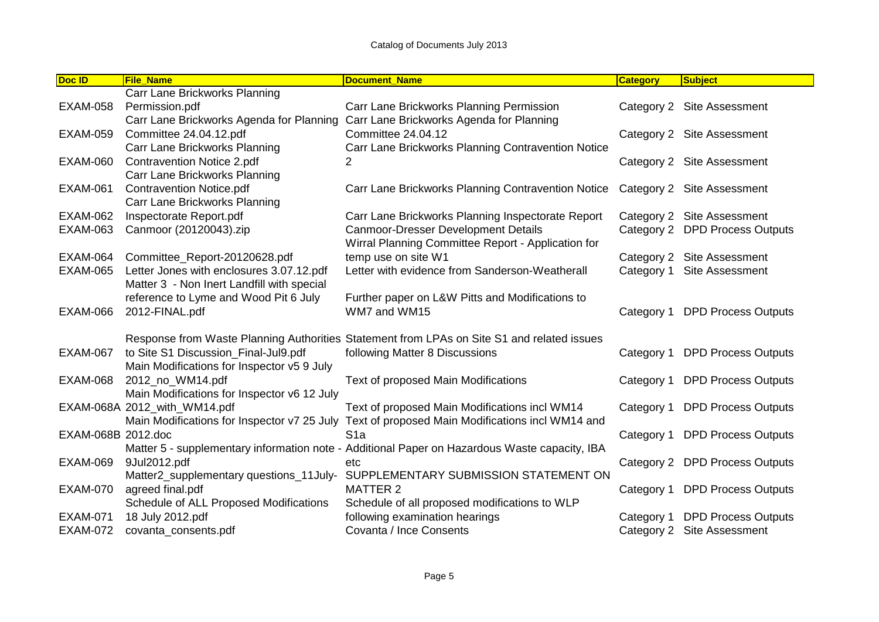| Doc ID             | <b>File_Name</b>                            | <b>Document_Name</b>                                                                          | <b>Category</b> | <b>Subject</b>                 |
|--------------------|---------------------------------------------|-----------------------------------------------------------------------------------------------|-----------------|--------------------------------|
|                    | Carr Lane Brickworks Planning               |                                                                                               |                 |                                |
| <b>EXAM-058</b>    | Permission.pdf                              | Carr Lane Brickworks Planning Permission                                                      |                 | Category 2 Site Assessment     |
|                    | Carr Lane Brickworks Agenda for Planning    | Carr Lane Brickworks Agenda for Planning                                                      |                 |                                |
| <b>EXAM-059</b>    | Committee 24.04.12.pdf                      | Committee 24.04.12                                                                            |                 | Category 2 Site Assessment     |
|                    | Carr Lane Brickworks Planning               | Carr Lane Brickworks Planning Contravention Notice                                            |                 |                                |
| <b>EXAM-060</b>    | <b>Contravention Notice 2.pdf</b>           |                                                                                               |                 | Category 2 Site Assessment     |
|                    | Carr Lane Brickworks Planning               |                                                                                               |                 |                                |
| <b>EXAM-061</b>    | <b>Contravention Notice.pdf</b>             | Carr Lane Brickworks Planning Contravention Notice                                            |                 | Category 2 Site Assessment     |
|                    | Carr Lane Brickworks Planning               |                                                                                               |                 |                                |
| <b>EXAM-062</b>    | Inspectorate Report.pdf                     | Carr Lane Brickworks Planning Inspectorate Report                                             |                 | Category 2 Site Assessment     |
| <b>EXAM-063</b>    | Canmoor (20120043).zip                      | <b>Canmoor-Dresser Development Details</b>                                                    |                 | Category 2 DPD Process Outputs |
|                    |                                             | Wirral Planning Committee Report - Application for                                            |                 |                                |
| <b>EXAM-064</b>    | Committee_Report-20120628.pdf               | temp use on site W1                                                                           |                 | Category 2 Site Assessment     |
| <b>EXAM-065</b>    | Letter Jones with enclosures 3.07.12.pdf    | Letter with evidence from Sanderson-Weatherall                                                | Category 1      | <b>Site Assessment</b>         |
|                    | Matter 3 - Non Inert Landfill with special  |                                                                                               |                 |                                |
|                    | reference to Lyme and Wood Pit 6 July       | Further paper on L&W Pitts and Modifications to                                               |                 |                                |
| <b>EXAM-066</b>    | 2012-FINAL.pdf                              | WM7 and WM15                                                                                  | Category 1      | <b>DPD Process Outputs</b>     |
|                    |                                             |                                                                                               |                 |                                |
|                    |                                             | Response from Waste Planning Authorities Statement from LPAs on Site S1 and related issues    |                 |                                |
| <b>EXAM-067</b>    | to Site S1 Discussion_Final-Jul9.pdf        | following Matter 8 Discussions                                                                | Category 1      | <b>DPD Process Outputs</b>     |
|                    | Main Modifications for Inspector v5 9 July  |                                                                                               |                 |                                |
| <b>EXAM-068</b>    | 2012_no_WM14.pdf                            | Text of proposed Main Modifications                                                           | Category 1      | <b>DPD Process Outputs</b>     |
|                    | Main Modifications for Inspector v6 12 July |                                                                                               |                 |                                |
|                    | EXAM-068A 2012_with_WM14.pdf                | Text of proposed Main Modifications incl WM14                                                 | Category 1      | <b>DPD Process Outputs</b>     |
|                    | Main Modifications for Inspector v7 25 July | Text of proposed Main Modifications incl WM14 and                                             |                 |                                |
| EXAM-068B 2012.doc |                                             | S <sub>1a</sub>                                                                               | Category 1      | <b>DPD Process Outputs</b>     |
|                    |                                             | Matter 5 - supplementary information note - Additional Paper on Hazardous Waste capacity, IBA |                 |                                |
| <b>EXAM-069</b>    | 9Jul2012.pdf                                | etc                                                                                           |                 | Category 2 DPD Process Outputs |
|                    | Matter2_supplementary questions_11July-     | SUPPLEMENTARY SUBMISSION STATEMENT ON                                                         |                 |                                |
| <b>EXAM-070</b>    | agreed final.pdf                            | <b>MATTER 2</b>                                                                               | Category 1      | <b>DPD Process Outputs</b>     |
|                    | Schedule of ALL Proposed Modifications      | Schedule of all proposed modifications to WLP                                                 |                 |                                |
| <b>EXAM-071</b>    | 18 July 2012.pdf                            | following examination hearings                                                                | Category 1      | <b>DPD Process Outputs</b>     |
| <b>EXAM-072</b>    | covanta_consents.pdf                        | Covanta / Ince Consents                                                                       | Category 2      | <b>Site Assessment</b>         |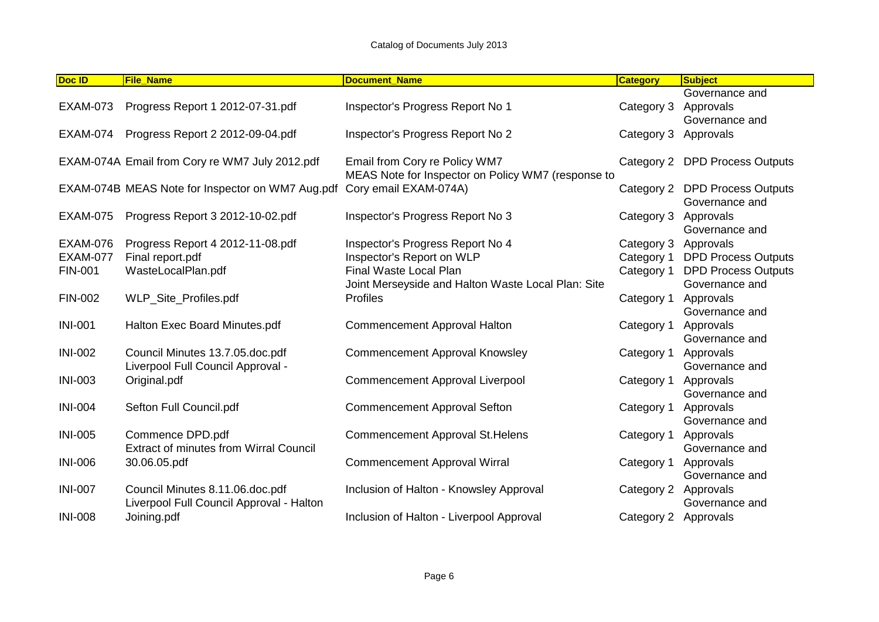| Doc ID          | <b>File Name</b>                                 | <b>Document Name</b>                               | <b>Category</b> | <b>Subject</b>             |
|-----------------|--------------------------------------------------|----------------------------------------------------|-----------------|----------------------------|
|                 |                                                  |                                                    |                 | Governance and             |
| <b>EXAM-073</b> | Progress Report 1 2012-07-31.pdf                 | Inspector's Progress Report No 1                   | Category 3      | Approvals                  |
|                 |                                                  |                                                    |                 | Governance and             |
| <b>EXAM-074</b> | Progress Report 2 2012-09-04.pdf                 | Inspector's Progress Report No 2                   | Category 3      | Approvals                  |
|                 |                                                  |                                                    |                 |                            |
|                 | EXAM-074A Email from Cory re WM7 July 2012.pdf   | Email from Cory re Policy WM7                      | Category 2      | <b>DPD Process Outputs</b> |
|                 |                                                  | MEAS Note for Inspector on Policy WM7 (response to |                 |                            |
|                 | EXAM-074B MEAS Note for Inspector on WM7 Aug.pdf | Cory email EXAM-074A)                              | Category 2      | <b>DPD Process Outputs</b> |
|                 |                                                  |                                                    |                 | Governance and             |
| <b>EXAM-075</b> | Progress Report 3 2012-10-02.pdf                 | Inspector's Progress Report No 3                   | Category 3      | Approvals                  |
|                 |                                                  |                                                    |                 | Governance and             |
| <b>EXAM-076</b> | Progress Report 4 2012-11-08.pdf                 | Inspector's Progress Report No 4                   | Category 3      | Approvals                  |
| <b>EXAM-077</b> | Final report.pdf                                 | Inspector's Report on WLP                          | Category 1      | <b>DPD Process Outputs</b> |
| <b>FIN-001</b>  | WasteLocalPlan.pdf                               | Final Waste Local Plan                             | Category 1      | <b>DPD Process Outputs</b> |
|                 |                                                  | Joint Merseyside and Halton Waste Local Plan: Site |                 | Governance and             |
| <b>FIN-002</b>  | WLP_Site_Profiles.pdf                            | Profiles                                           | Category 1      | Approvals                  |
|                 |                                                  |                                                    |                 | Governance and             |
| <b>INI-001</b>  | Halton Exec Board Minutes.pdf                    | Commencement Approval Halton                       | Category 1      | Approvals                  |
|                 |                                                  |                                                    |                 | Governance and             |
| <b>INI-002</b>  | Council Minutes 13.7.05.doc.pdf                  | <b>Commencement Approval Knowsley</b>              | Category 1      | Approvals                  |
|                 | Liverpool Full Council Approval -                |                                                    |                 | Governance and             |
| <b>INI-003</b>  | Original.pdf                                     | <b>Commencement Approval Liverpool</b>             | Category 1      | Approvals                  |
|                 |                                                  |                                                    |                 | Governance and             |
| <b>INI-004</b>  | Sefton Full Council.pdf                          | <b>Commencement Approval Sefton</b>                | Category 1      | Approvals                  |
|                 |                                                  |                                                    |                 | Governance and             |
| <b>INI-005</b>  | Commence DPD.pdf                                 | <b>Commencement Approval St. Helens</b>            | Category 1      | Approvals                  |
|                 | <b>Extract of minutes from Wirral Council</b>    |                                                    |                 | Governance and             |
| <b>INI-006</b>  | 30.06.05.pdf                                     | <b>Commencement Approval Wirral</b>                | Category 1      | Approvals                  |
|                 |                                                  |                                                    |                 | Governance and             |
| <b>INI-007</b>  | Council Minutes 8.11.06.doc.pdf                  | Inclusion of Halton - Knowsley Approval            | Category 2      | Approvals                  |
|                 | Liverpool Full Council Approval - Halton         |                                                    |                 | Governance and             |
| <b>INI-008</b>  | Joining.pdf                                      | Inclusion of Halton - Liverpool Approval           | Category 2      | Approvals                  |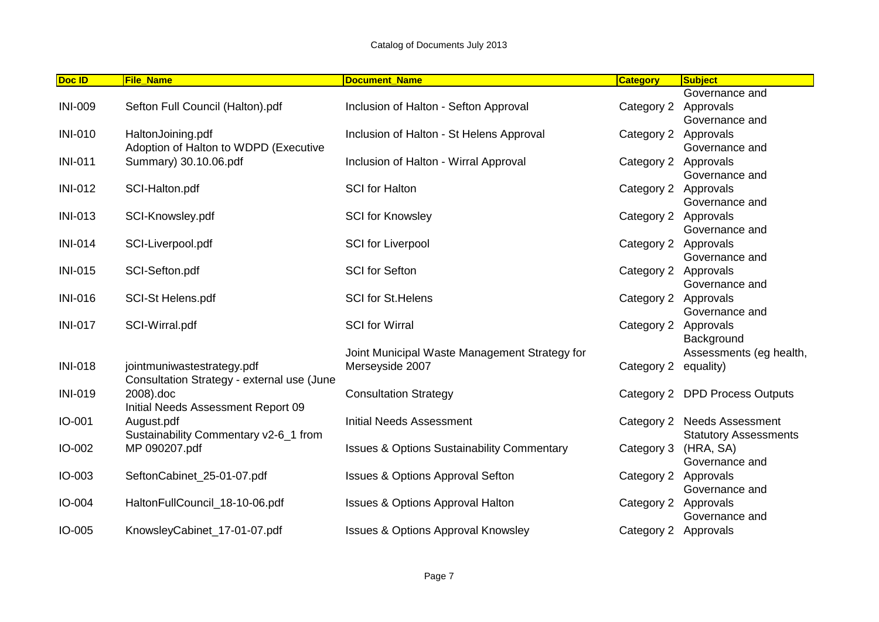| Doc ID         | <b>File_Name</b>                           | <b>Document_Name</b>                                  | <b>Category</b> | <b>Subject</b>                 |
|----------------|--------------------------------------------|-------------------------------------------------------|-----------------|--------------------------------|
|                |                                            |                                                       |                 | Governance and                 |
| <b>INI-009</b> | Sefton Full Council (Halton).pdf           | Inclusion of Halton - Sefton Approval                 | Category 2      | Approvals                      |
|                |                                            |                                                       |                 | Governance and                 |
| <b>INI-010</b> | HaltonJoining.pdf                          | Inclusion of Halton - St Helens Approval              | Category 2      | Approvals                      |
|                | Adoption of Halton to WDPD (Executive      |                                                       |                 | Governance and                 |
| <b>INI-011</b> | Summary) 30.10.06.pdf                      | Inclusion of Halton - Wirral Approval                 | Category 2      | Approvals                      |
|                |                                            |                                                       |                 | Governance and                 |
| <b>INI-012</b> | SCI-Halton.pdf                             | <b>SCI</b> for Halton                                 | Category 2      | Approvals                      |
|                |                                            |                                                       |                 | Governance and                 |
| <b>INI-013</b> | SCI-Knowsley.pdf                           | <b>SCI for Knowsley</b>                               | Category 2      | Approvals                      |
|                |                                            |                                                       |                 | Governance and                 |
| <b>INI-014</b> | SCI-Liverpool.pdf                          | <b>SCI</b> for Liverpool                              | Category 2      | Approvals                      |
|                |                                            |                                                       |                 | Governance and                 |
| <b>INI-015</b> | SCI-Sefton.pdf                             | <b>SCI</b> for Sefton                                 | Category 2      | Approvals                      |
|                |                                            |                                                       |                 | Governance and                 |
| <b>INI-016</b> | <b>SCI-St Helens.pdf</b>                   | <b>SCI</b> for St. Helens                             | Category 2      | Approvals                      |
|                |                                            |                                                       |                 | Governance and                 |
| <b>INI-017</b> | SCI-Wirral.pdf                             | <b>SCI</b> for Wirral                                 | Category 2      | Approvals                      |
|                |                                            |                                                       |                 | Background                     |
|                |                                            | Joint Municipal Waste Management Strategy for         |                 | Assessments (eg health,        |
| <b>INI-018</b> | jointmuniwastestrategy.pdf                 | Merseyside 2007                                       | Category 2      | equality)                      |
|                | Consultation Strategy - external use (June |                                                       |                 |                                |
| <b>INI-019</b> | 2008).doc                                  | <b>Consultation Strategy</b>                          |                 | Category 2 DPD Process Outputs |
|                | Initial Needs Assessment Report 09         |                                                       |                 |                                |
| IO-001         | August.pdf                                 | <b>Initial Needs Assessment</b>                       | Category 2      | <b>Needs Assessment</b>        |
|                | Sustainability Commentary v2-6_1 from      |                                                       |                 | <b>Statutory Assessments</b>   |
| IO-002         | MP 090207.pdf                              | <b>Issues &amp; Options Sustainability Commentary</b> | Category 3      | (HRA, SA)                      |
|                |                                            |                                                       |                 | Governance and                 |
| IO-003         | SeftonCabinet_25-01-07.pdf                 | <b>Issues &amp; Options Approval Sefton</b>           | Category 2      | Approvals                      |
|                |                                            |                                                       |                 | Governance and                 |
| IO-004         | HaltonFullCouncil_18-10-06.pdf             | <b>Issues &amp; Options Approval Halton</b>           | Category 2      | Approvals                      |
|                |                                            |                                                       |                 | Governance and                 |
| IO-005         | KnowsleyCabinet_17-01-07.pdf               | <b>Issues &amp; Options Approval Knowsley</b>         | Category 2      | Approvals                      |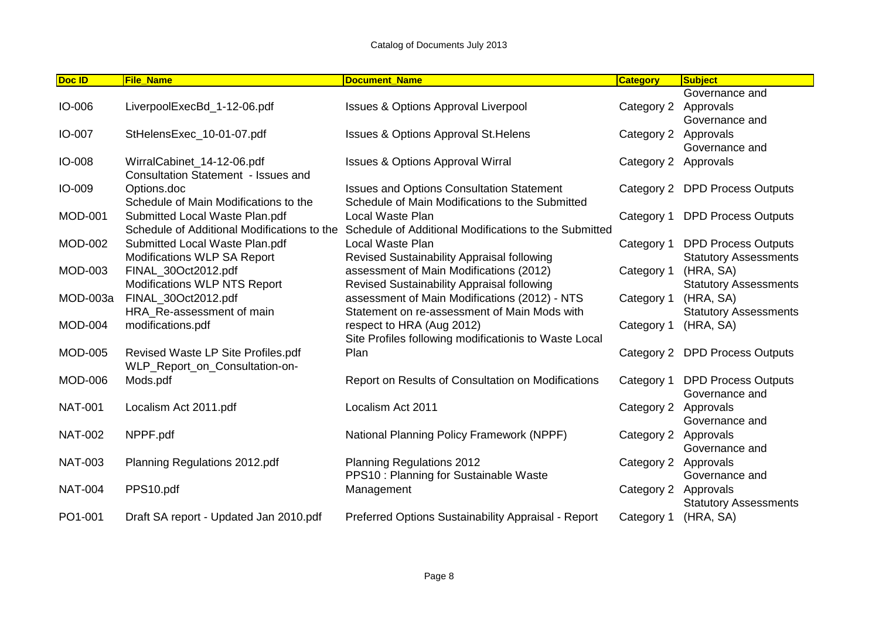| Doc ID         | <b>File Name</b>                            | <b>Document Name</b>                                  | <b>Category</b> | <b>Subject</b>                 |
|----------------|---------------------------------------------|-------------------------------------------------------|-----------------|--------------------------------|
|                |                                             |                                                       |                 | Governance and                 |
| IO-006         | LiverpoolExecBd 1-12-06.pdf                 | <b>Issues &amp; Options Approval Liverpool</b>        | Category 2      | Approvals                      |
|                |                                             |                                                       |                 | Governance and                 |
| IO-007         | StHelensExec_10-01-07.pdf                   | <b>Issues &amp; Options Approval St. Helens</b>       | Category 2      | Approvals                      |
|                |                                             |                                                       |                 | Governance and                 |
| IO-008         | WirralCabinet_14-12-06.pdf                  | <b>Issues &amp; Options Approval Wirral</b>           | Category 2      | Approvals                      |
|                | Consultation Statement - Issues and         |                                                       |                 |                                |
| IO-009         | Options.doc                                 | <b>Issues and Options Consultation Statement</b>      |                 | Category 2 DPD Process Outputs |
|                | Schedule of Main Modifications to the       | Schedule of Main Modifications to the Submitted       |                 |                                |
| <b>MOD-001</b> | Submitted Local Waste Plan.pdf              | Local Waste Plan                                      | Category 1      | <b>DPD Process Outputs</b>     |
|                | Schedule of Additional Modifications to the | Schedule of Additional Modifications to the Submitted |                 |                                |
| <b>MOD-002</b> | Submitted Local Waste Plan.pdf              | Local Waste Plan                                      | Category 1      | <b>DPD Process Outputs</b>     |
|                | Modifications WLP SA Report                 | Revised Sustainability Appraisal following            |                 | <b>Statutory Assessments</b>   |
| <b>MOD-003</b> | FINAL_30Oct2012.pdf                         | assessment of Main Modifications (2012)               | Category 1      | (HRA, SA)                      |
|                | <b>Modifications WLP NTS Report</b>         | Revised Sustainability Appraisal following            |                 | <b>Statutory Assessments</b>   |
| MOD-003a       | FINAL_30Oct2012.pdf                         | assessment of Main Modifications (2012) - NTS         | Category 1      | (HRA, SA)                      |
|                | HRA_Re-assessment of main                   | Statement on re-assessment of Main Mods with          |                 | <b>Statutory Assessments</b>   |
| <b>MOD-004</b> | modifications.pdf                           | respect to HRA (Aug 2012)                             | Category 1      | (HRA, SA)                      |
|                |                                             | Site Profiles following modificationis to Waste Local |                 |                                |
| <b>MOD-005</b> | Revised Waste LP Site Profiles.pdf          | Plan                                                  |                 | Category 2 DPD Process Outputs |
|                | WLP_Report_on_Consultation-on-              |                                                       |                 |                                |
| <b>MOD-006</b> | Mods.pdf                                    | Report on Results of Consultation on Modifications    | Category 1      | <b>DPD Process Outputs</b>     |
|                |                                             |                                                       |                 | Governance and                 |
| <b>NAT-001</b> | Localism Act 2011.pdf                       | Localism Act 2011                                     | Category 2      | Approvals                      |
|                |                                             |                                                       |                 | Governance and                 |
| <b>NAT-002</b> | NPPF.pdf                                    | National Planning Policy Framework (NPPF)             | Category 2      | Approvals                      |
|                |                                             |                                                       |                 | Governance and                 |
| <b>NAT-003</b> | Planning Regulations 2012.pdf               | <b>Planning Regulations 2012</b>                      | Category 2      | Approvals                      |
|                |                                             | PPS10 : Planning for Sustainable Waste                |                 | Governance and                 |
| <b>NAT-004</b> | PPS10.pdf                                   | Management                                            | Category 2      | Approvals                      |
|                |                                             |                                                       |                 | <b>Statutory Assessments</b>   |
| PO1-001        | Draft SA report - Updated Jan 2010.pdf      | Preferred Options Sustainability Appraisal - Report   | Category 1      | (HRA, SA)                      |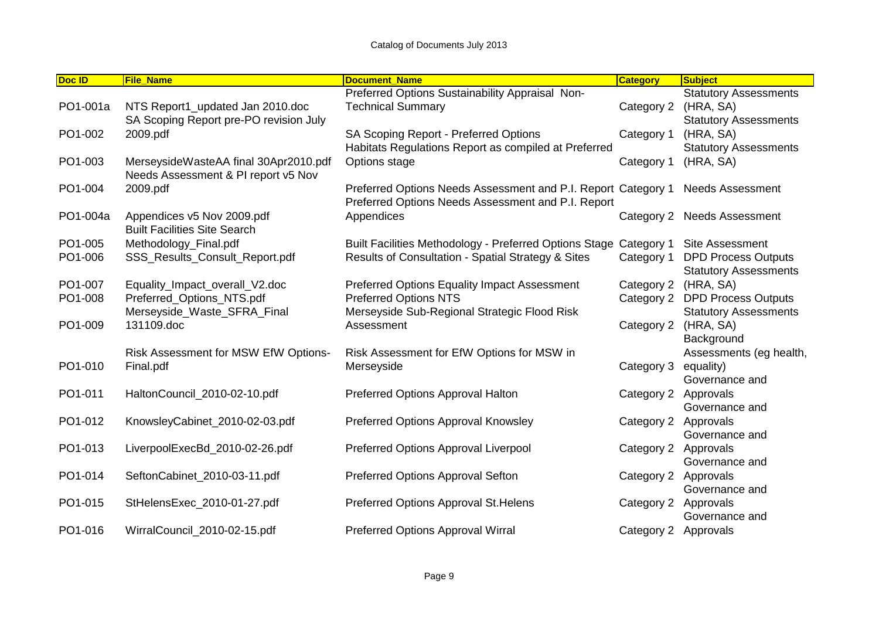| Doc ID   | <b>File_Name</b>                                                  | <b>Document Name</b>                                              | <b>Category</b> | <b>Subject</b>               |
|----------|-------------------------------------------------------------------|-------------------------------------------------------------------|-----------------|------------------------------|
|          |                                                                   | Preferred Options Sustainability Appraisal Non-                   |                 | <b>Statutory Assessments</b> |
| PO1-001a | NTS Report1_updated Jan 2010.doc                                  | <b>Technical Summary</b>                                          | Category 2      | (HRA, SA)                    |
|          | SA Scoping Report pre-PO revision July                            |                                                                   |                 | <b>Statutory Assessments</b> |
| PO1-002  | 2009.pdf                                                          | SA Scoping Report - Preferred Options                             | Category 1      | (HRA, SA)                    |
|          |                                                                   | Habitats Regulations Report as compiled at Preferred              |                 | <b>Statutory Assessments</b> |
| PO1-003  | MerseysideWasteAA final 30Apr2010.pdf                             | Options stage                                                     | Category 1      | (HRA, SA)                    |
|          | Needs Assessment & PI report v5 Nov                               |                                                                   |                 |                              |
| PO1-004  | 2009.pdf                                                          | Preferred Options Needs Assessment and P.I. Report Category 1     |                 | <b>Needs Assessment</b>      |
|          |                                                                   | Preferred Options Needs Assessment and P.I. Report                |                 |                              |
| PO1-004a | Appendices v5 Nov 2009.pdf<br><b>Built Facilities Site Search</b> | Appendices                                                        |                 | Category 2 Needs Assessment  |
| PO1-005  | Methodology_Final.pdf                                             | Built Facilities Methodology - Preferred Options Stage Category 1 |                 | <b>Site Assessment</b>       |
| PO1-006  | SSS_Results_Consult_Report.pdf                                    | Results of Consultation - Spatial Strategy & Sites                | Category 1      | <b>DPD Process Outputs</b>   |
|          |                                                                   |                                                                   |                 | <b>Statutory Assessments</b> |
| PO1-007  | Equality_Impact_overall_V2.doc                                    | Preferred Options Equality Impact Assessment                      | Category 2      | (HRA, SA)                    |
| PO1-008  | Preferred_Options_NTS.pdf                                         | <b>Preferred Options NTS</b>                                      | Category 2      | <b>DPD Process Outputs</b>   |
|          | Merseyside_Waste_SFRA_Final                                       | Merseyside Sub-Regional Strategic Flood Risk                      |                 | <b>Statutory Assessments</b> |
| PO1-009  | 131109.doc                                                        | Assessment                                                        | Category 2      | (HRA, SA)                    |
|          |                                                                   |                                                                   |                 | Background                   |
|          | Risk Assessment for MSW EfW Options-                              | Risk Assessment for EfW Options for MSW in                        |                 | Assessments (eg health,      |
| PO1-010  | Final.pdf                                                         | Merseyside                                                        | Category 3      | equality)                    |
|          |                                                                   |                                                                   |                 | Governance and               |
| PO1-011  | HaltonCouncil_2010-02-10.pdf                                      | Preferred Options Approval Halton                                 | Category 2      | Approvals                    |
|          |                                                                   |                                                                   |                 | Governance and               |
| PO1-012  | KnowsleyCabinet_2010-02-03.pdf                                    | Preferred Options Approval Knowsley                               | Category 2      | Approvals                    |
| PO1-013  | LiverpoolExecBd_2010-02-26.pdf                                    | Preferred Options Approval Liverpool                              |                 | Governance and               |
|          |                                                                   |                                                                   | Category 2      | Approvals<br>Governance and  |
| PO1-014  | SeftonCabinet_2010-03-11.pdf                                      | Preferred Options Approval Sefton                                 | Category 2      | Approvals                    |
|          |                                                                   |                                                                   |                 | Governance and               |
| PO1-015  | StHelensExec_2010-01-27.pdf                                       | Preferred Options Approval St. Helens                             | Category 2      | Approvals                    |
|          |                                                                   |                                                                   |                 | Governance and               |
| PO1-016  | WirralCouncil 2010-02-15.pdf                                      | Preferred Options Approval Wirral                                 | Category 2      | Approvals                    |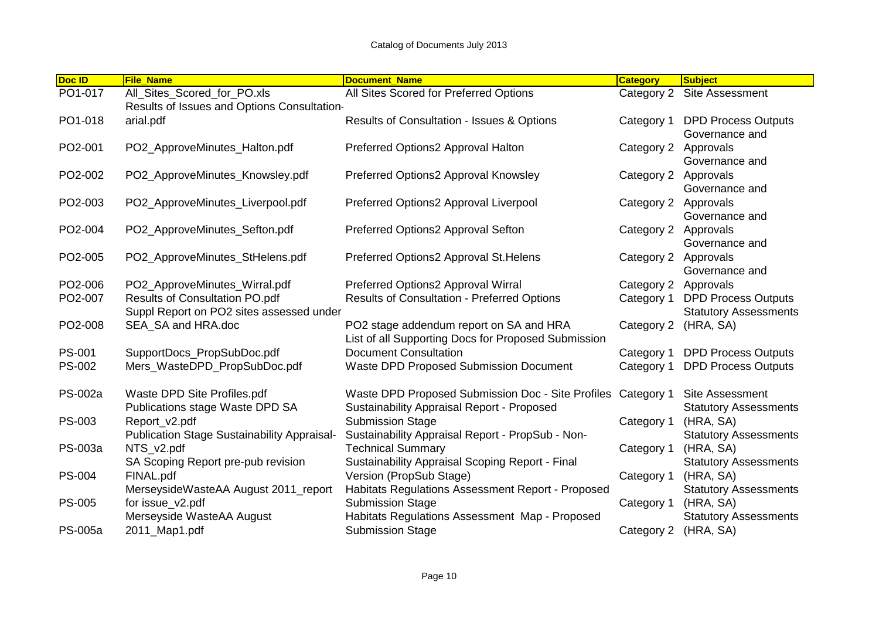| Doc ID         | <b>File Name</b>                                                                  | <b>Document Name</b>                                                                                              | <b>Category</b> | <b>Subject</b>                                             |
|----------------|-----------------------------------------------------------------------------------|-------------------------------------------------------------------------------------------------------------------|-----------------|------------------------------------------------------------|
| PO1-017        | All_Sites_Scored_for_PO.xls<br>Results of Issues and Options Consultation-        | All Sites Scored for Preferred Options                                                                            | Category 2      | Site Assessment                                            |
| PO1-018        | arial.pdf                                                                         | <b>Results of Consultation - Issues &amp; Options</b>                                                             | Category 1      | <b>DPD Process Outputs</b><br>Governance and               |
| PO2-001        | PO2_ApproveMinutes_Halton.pdf                                                     | Preferred Options2 Approval Halton                                                                                | Category 2      | Approvals<br>Governance and                                |
| PO2-002        | PO2_ApproveMinutes_Knowsley.pdf                                                   | Preferred Options2 Approval Knowsley                                                                              | Category 2      | Approvals<br>Governance and                                |
| PO2-003        | PO2_ApproveMinutes_Liverpool.pdf                                                  | Preferred Options2 Approval Liverpool                                                                             | Category 2      | Approvals<br>Governance and                                |
| PO2-004        | PO2_ApproveMinutes_Sefton.pdf                                                     | Preferred Options2 Approval Sefton                                                                                | Category 2      | Approvals<br>Governance and                                |
| PO2-005        | PO2_ApproveMinutes_StHelens.pdf                                                   | Preferred Options2 Approval St. Helens                                                                            | Category 2      | Approvals<br>Governance and                                |
| PO2-006        | PO2_ApproveMinutes_Wirral.pdf                                                     | Preferred Options2 Approval Wirral                                                                                | Category 2      | Approvals                                                  |
| PO2-007        | <b>Results of Consultation PO.pdf</b><br>Suppl Report on PO2 sites assessed under | <b>Results of Consultation - Preferred Options</b>                                                                | Category 1      | <b>DPD Process Outputs</b><br><b>Statutory Assessments</b> |
| PO2-008        | SEA_SA and HRA.doc                                                                | PO2 stage addendum report on SA and HRA<br>List of all Supporting Docs for Proposed Submission                    | Category 2      | (HRA, SA)                                                  |
| <b>PS-001</b>  | SupportDocs_PropSubDoc.pdf                                                        | <b>Document Consultation</b>                                                                                      | Category 1      | <b>DPD Process Outputs</b>                                 |
| PS-002         | Mers_WasteDPD_PropSubDoc.pdf                                                      | Waste DPD Proposed Submission Document                                                                            | Category 1      | <b>DPD Process Outputs</b>                                 |
| PS-002a        | Waste DPD Site Profiles.pdf<br>Publications stage Waste DPD SA                    | Waste DPD Proposed Submission Doc - Site Profiles Category 1<br><b>Sustainability Appraisal Report - Proposed</b> |                 | Site Assessment<br><b>Statutory Assessments</b>            |
| <b>PS-003</b>  | Report_v2.pdf<br><b>Publication Stage Sustainability Appraisal-</b>               | <b>Submission Stage</b><br>Sustainability Appraisal Report - PropSub - Non-                                       | Category 1      | (HRA, SA)<br><b>Statutory Assessments</b>                  |
| PS-003a        | NTS v2.pdf<br>SA Scoping Report pre-pub revision                                  | <b>Technical Summary</b><br>Sustainability Appraisal Scoping Report - Final                                       | Category 1      | (HRA, SA)<br><b>Statutory Assessments</b>                  |
| <b>PS-004</b>  | FINAL.pdf                                                                         | Version (PropSub Stage)                                                                                           | Category 1      | (HRA, SA)                                                  |
| <b>PS-005</b>  | MerseysideWasteAA August 2011_report<br>for issue_v2.pdf                          | Habitats Regulations Assessment Report - Proposed<br><b>Submission Stage</b>                                      | Category 1      | <b>Statutory Assessments</b><br>(HRA, SA)                  |
|                | Merseyside WasteAA August                                                         | Habitats Regulations Assessment Map - Proposed                                                                    |                 | <b>Statutory Assessments</b>                               |
| <b>PS-005a</b> | 2011_Map1.pdf                                                                     | <b>Submission Stage</b>                                                                                           | Category 2      | (HRA, SA)                                                  |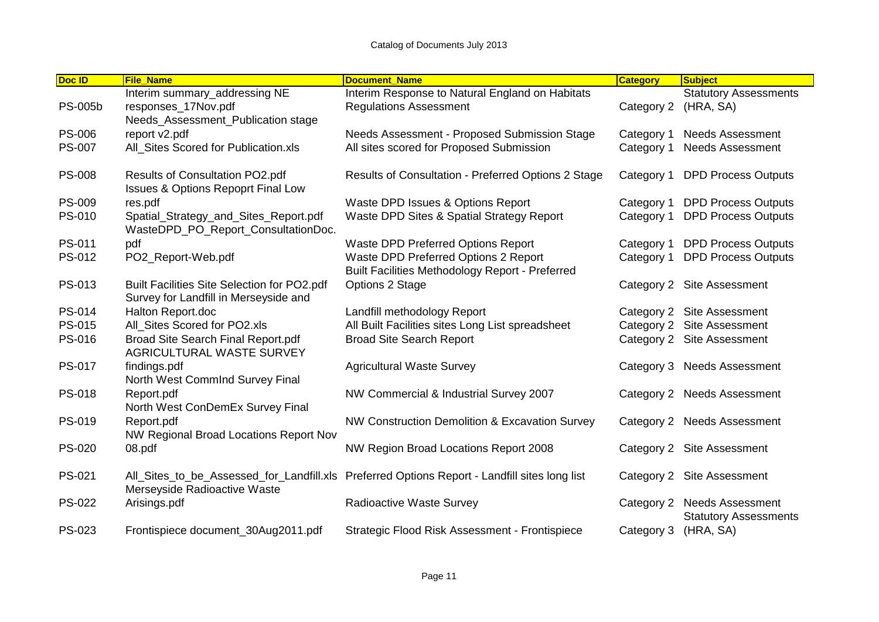| Doc ID         | <b>File Name</b>                                                                     | <b>Document Name</b>                                                                           | <b>Category</b> | <b>Subject</b>                                          |
|----------------|--------------------------------------------------------------------------------------|------------------------------------------------------------------------------------------------|-----------------|---------------------------------------------------------|
|                | Interim summary_addressing NE                                                        | Interim Response to Natural England on Habitats                                                |                 | <b>Statutory Assessments</b>                            |
| <b>PS-005b</b> | responses_17Nov.pdf                                                                  | <b>Regulations Assessment</b>                                                                  | Category 2      | (HRA, SA)                                               |
|                | Needs_Assessment_Publication stage                                                   |                                                                                                |                 |                                                         |
| <b>PS-006</b>  | report v2.pdf                                                                        | Needs Assessment - Proposed Submission Stage                                                   | Category 1      | <b>Needs Assessment</b>                                 |
| <b>PS-007</b>  | All_Sites Scored for Publication.xls                                                 | All sites scored for Proposed Submission                                                       | Category 1      | <b>Needs Assessment</b>                                 |
| <b>PS-008</b>  | Results of Consultation PO2.pdf                                                      | Results of Consultation - Preferred Options 2 Stage                                            | Category 1      | <b>DPD Process Outputs</b>                              |
|                | <b>Issues &amp; Options Repoprt Final Low</b>                                        |                                                                                                |                 |                                                         |
| <b>PS-009</b>  | res.pdf                                                                              | Waste DPD Issues & Options Report                                                              | Category 1      | <b>DPD Process Outputs</b>                              |
| PS-010         | Spatial_Strategy_and_Sites_Report.pdf<br>WasteDPD_PO_Report_ConsultationDoc.         | Waste DPD Sites & Spatial Strategy Report                                                      | Category 1      | <b>DPD Process Outputs</b>                              |
| PS-011         | pdf                                                                                  | Waste DPD Preferred Options Report                                                             | Category 1      | <b>DPD Process Outputs</b>                              |
| PS-012         | PO2_Report-Web.pdf                                                                   | Waste DPD Preferred Options 2 Report<br><b>Built Facilities Methodology Report - Preferred</b> | Category 1      | <b>DPD Process Outputs</b>                              |
| PS-013         | Built Facilities Site Selection for PO2.pdf<br>Survey for Landfill in Merseyside and | Options 2 Stage                                                                                |                 | Category 2 Site Assessment                              |
| PS-014         | Halton Report.doc                                                                    | Landfill methodology Report                                                                    |                 | Category 2 Site Assessment                              |
| PS-015         | All Sites Scored for PO2.xls                                                         | All Built Facilities sites Long List spreadsheet                                               |                 | Category 2 Site Assessment                              |
| PS-016         | Broad Site Search Final Report.pdf<br><b>AGRICULTURAL WASTE SURVEY</b>               | <b>Broad Site Search Report</b>                                                                |                 | Category 2 Site Assessment                              |
| <b>PS-017</b>  | findings.pdf<br>North West CommInd Survey Final                                      | <b>Agricultural Waste Survey</b>                                                               |                 | Category 3 Needs Assessment                             |
| <b>PS-018</b>  | Report.pdf<br>North West ConDemEx Survey Final                                       | NW Commercial & Industrial Survey 2007                                                         |                 | Category 2 Needs Assessment                             |
| PS-019         | Report.pdf<br>NW Regional Broad Locations Report Nov                                 | NW Construction Demolition & Excavation Survey                                                 |                 | Category 2 Needs Assessment                             |
| <b>PS-020</b>  | 08.pdf                                                                               | NW Region Broad Locations Report 2008                                                          |                 | Category 2 Site Assessment                              |
| PS-021         | Merseyside Radioactive Waste                                                         | All_Sites_to_be_Assessed_for_Landfill.xls Preferred Options Report - Landfill sites long list  |                 | Category 2 Site Assessment                              |
| <b>PS-022</b>  | Arisings.pdf                                                                         | Radioactive Waste Survey                                                                       | Category 2      | <b>Needs Assessment</b><br><b>Statutory Assessments</b> |
| <b>PS-023</b>  | Frontispiece document_30Aug2011.pdf                                                  | Strategic Flood Risk Assessment - Frontispiece                                                 | Category 3      | (HRA, SA)                                               |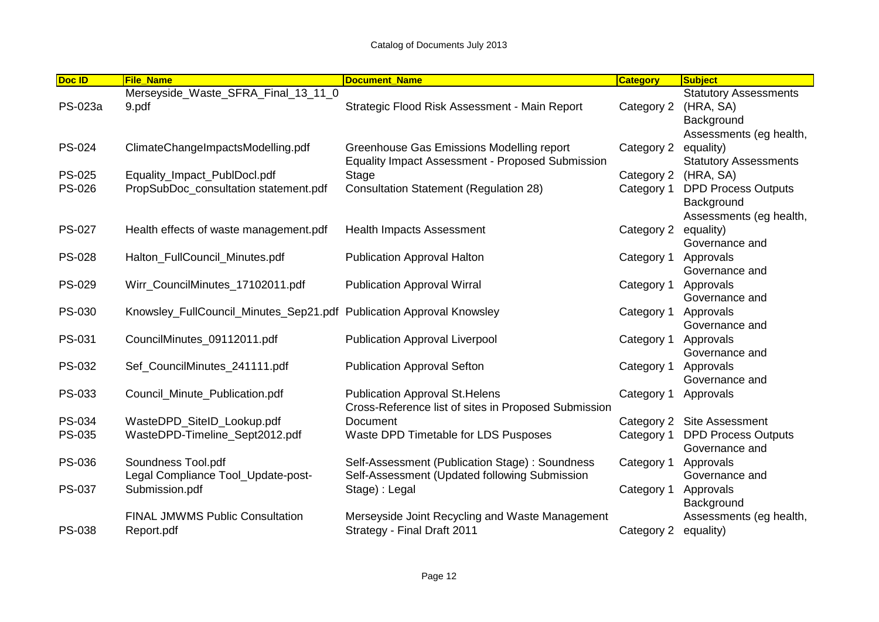| Doc ID        | <b>File Name</b>                                                        | <b>Document Name</b>                                    | <b>Category</b> | <b>Subject</b>               |
|---------------|-------------------------------------------------------------------------|---------------------------------------------------------|-----------------|------------------------------|
|               | Merseyside_Waste_SFRA_Final_13_11_0                                     |                                                         |                 | <b>Statutory Assessments</b> |
| PS-023a       | 9.pdf                                                                   | Strategic Flood Risk Assessment - Main Report           | Category 2      | (HRA, SA)                    |
|               |                                                                         |                                                         |                 | Background                   |
|               |                                                                         |                                                         |                 | Assessments (eg health,      |
| <b>PS-024</b> | ClimateChangeImpactsModelling.pdf                                       | Greenhouse Gas Emissions Modelling report               | Category 2      | equality)                    |
|               |                                                                         | <b>Equality Impact Assessment - Proposed Submission</b> |                 | <b>Statutory Assessments</b> |
| <b>PS-025</b> | Equality_Impact_PublDocl.pdf                                            | Stage                                                   | Category 2      | (HRA, SA)                    |
| <b>PS-026</b> | PropSubDoc_consultation statement.pdf                                   | <b>Consultation Statement (Regulation 28)</b>           | Category 1      | <b>DPD Process Outputs</b>   |
|               |                                                                         |                                                         |                 | Background                   |
|               |                                                                         |                                                         |                 | Assessments (eg health,      |
| <b>PS-027</b> | Health effects of waste management.pdf                                  | <b>Health Impacts Assessment</b>                        | Category 2      | equality)                    |
|               |                                                                         |                                                         |                 | Governance and               |
| <b>PS-028</b> | Halton_FullCouncil_Minutes.pdf                                          | <b>Publication Approval Halton</b>                      | Category 1      | Approvals                    |
|               |                                                                         |                                                         |                 | Governance and               |
| PS-029        | Wirr_CouncilMinutes_17102011.pdf                                        | <b>Publication Approval Wirral</b>                      | Category 1      | Approvals                    |
|               |                                                                         |                                                         |                 | Governance and               |
| PS-030        | Knowsley_FullCouncil_Minutes_Sep21.pdf    Publication Approval Knowsley |                                                         | Category 1      | Approvals                    |
|               |                                                                         |                                                         |                 | Governance and               |
| PS-031        | CouncilMinutes_09112011.pdf                                             | <b>Publication Approval Liverpool</b>                   | Category 1      | Approvals                    |
|               |                                                                         |                                                         |                 | Governance and               |
| PS-032        | Sef_CouncilMinutes_241111.pdf                                           | <b>Publication Approval Sefton</b>                      | Category 1      | Approvals                    |
|               |                                                                         |                                                         |                 | Governance and               |
| PS-033        | Council_Minute_Publication.pdf                                          | <b>Publication Approval St. Helens</b>                  | Category 1      | Approvals                    |
|               |                                                                         | Cross-Reference list of sites in Proposed Submission    |                 |                              |
| PS-034        | WasteDPD_SiteID_Lookup.pdf                                              | <b>Document</b>                                         | Category 2      | <b>Site Assessment</b>       |
| PS-035        | WasteDPD-Timeline_Sept2012.pdf                                          | Waste DPD Timetable for LDS Pusposes                    | Category 1      | <b>DPD Process Outputs</b>   |
|               |                                                                         |                                                         |                 | Governance and               |
| <b>PS-036</b> | Soundness Tool.pdf                                                      | Self-Assessment (Publication Stage): Soundness          | Category 1      | Approvals                    |
|               | Legal Compliance Tool_Update-post-                                      | Self-Assessment (Updated following Submission           |                 | Governance and               |
| PS-037        | Submission.pdf                                                          | Stage) : Legal                                          | Category 1      | Approvals                    |
|               |                                                                         |                                                         |                 | Background                   |
|               | <b>FINAL JMWMS Public Consultation</b>                                  | Merseyside Joint Recycling and Waste Management         |                 | Assessments (eg health,      |
| PS-038        | Report.pdf                                                              | Strategy - Final Draft 2011                             | Category 2      | equality)                    |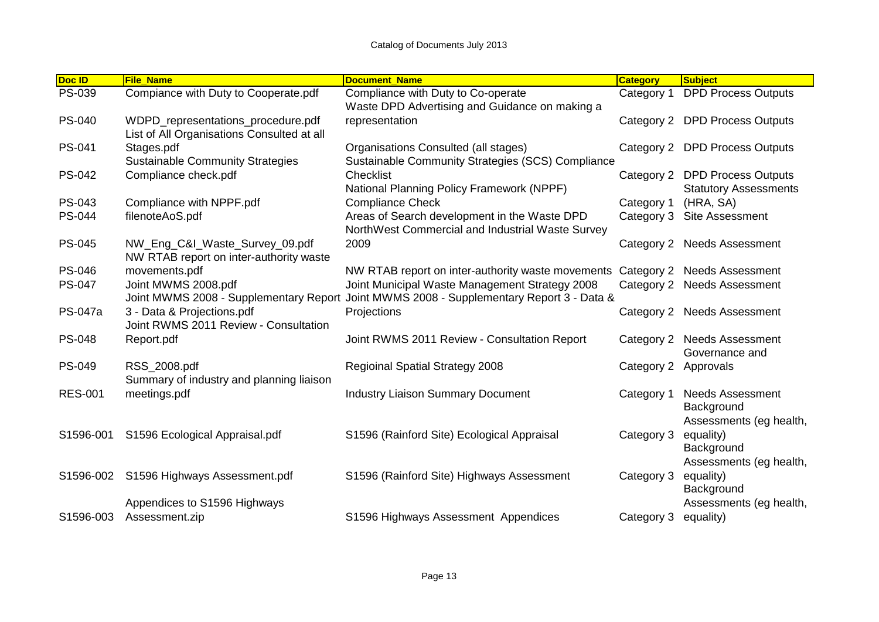| Doc ID         | <b>File Name</b>                                                                 | <b>Document Name</b>                                                                                | <b>Category</b> | <b>Subject</b>                                                   |
|----------------|----------------------------------------------------------------------------------|-----------------------------------------------------------------------------------------------------|-----------------|------------------------------------------------------------------|
| PS-039         | Compiance with Duty to Cooperate.pdf                                             | Compliance with Duty to Co-operate<br>Waste DPD Advertising and Guidance on making a                | Category 1      | <b>DPD Process Outputs</b>                                       |
| <b>PS-040</b>  | WDPD_representations_procedure.pdf<br>List of All Organisations Consulted at all | representation                                                                                      | Category 2      | <b>DPD Process Outputs</b>                                       |
| PS-041         | Stages.pdf<br><b>Sustainable Community Strategies</b>                            | Organisations Consulted (all stages)<br>Sustainable Community Strategies (SCS) Compliance           | Category 2      | <b>DPD Process Outputs</b>                                       |
| <b>PS-042</b>  | Compliance check.pdf                                                             | Checklist<br>National Planning Policy Framework (NPPF)                                              | Category 2      | <b>DPD Process Outputs</b><br><b>Statutory Assessments</b>       |
| <b>PS-043</b>  | Compliance with NPPF.pdf                                                         | <b>Compliance Check</b>                                                                             | Category 1      | (HRA, SA)                                                        |
| <b>PS-044</b>  | filenoteAoS.pdf                                                                  | Areas of Search development in the Waste DPD<br>NorthWest Commercial and Industrial Waste Survey    | Category 3      | Site Assessment                                                  |
| <b>PS-045</b>  | NW_Eng_C&I_Waste_Survey_09.pdf<br>NW RTAB report on inter-authority waste        | 2009                                                                                                | Category 2      | <b>Needs Assessment</b>                                          |
| <b>PS-046</b>  | movements.pdf                                                                    | NW RTAB report on inter-authority waste movements Category 2                                        |                 | <b>Needs Assessment</b>                                          |
| <b>PS-047</b>  | Joint MWMS 2008.pdf<br>Joint MWMS 2008 - Supplementary Report                    | Joint Municipal Waste Management Strategy 2008<br>Joint MWMS 2008 - Supplementary Report 3 - Data & | Category 2      | <b>Needs Assessment</b>                                          |
| <b>PS-047a</b> | 3 - Data & Projections.pdf<br>Joint RWMS 2011 Review - Consultation              | Projections                                                                                         | Category 2      | <b>Needs Assessment</b>                                          |
| <b>PS-048</b>  | Report.pdf                                                                       | Joint RWMS 2011 Review - Consultation Report                                                        | Category 2      | <b>Needs Assessment</b><br>Governance and                        |
| <b>PS-049</b>  | RSS_2008.pdf<br>Summary of industry and planning liaison                         | <b>Regioinal Spatial Strategy 2008</b>                                                              | Category 2      | Approvals                                                        |
| <b>RES-001</b> | meetings.pdf                                                                     | <b>Industry Liaison Summary Document</b>                                                            | Category 1      | <b>Needs Assessment</b><br>Background<br>Assessments (eg health, |
| S1596-001      | S1596 Ecological Appraisal.pdf                                                   | S1596 (Rainford Site) Ecological Appraisal                                                          | Category 3      | equality)<br>Background<br>Assessments (eg health,               |
| S1596-002      | S1596 Highways Assessment.pdf                                                    | S1596 (Rainford Site) Highways Assessment                                                           | Category 3      | equality)<br>Background                                          |
|                | Appendices to S1596 Highways                                                     |                                                                                                     |                 | Assessments (eg health,                                          |
| S1596-003      | Assessment.zip                                                                   | S1596 Highways Assessment Appendices                                                                | Category 3      | equality)                                                        |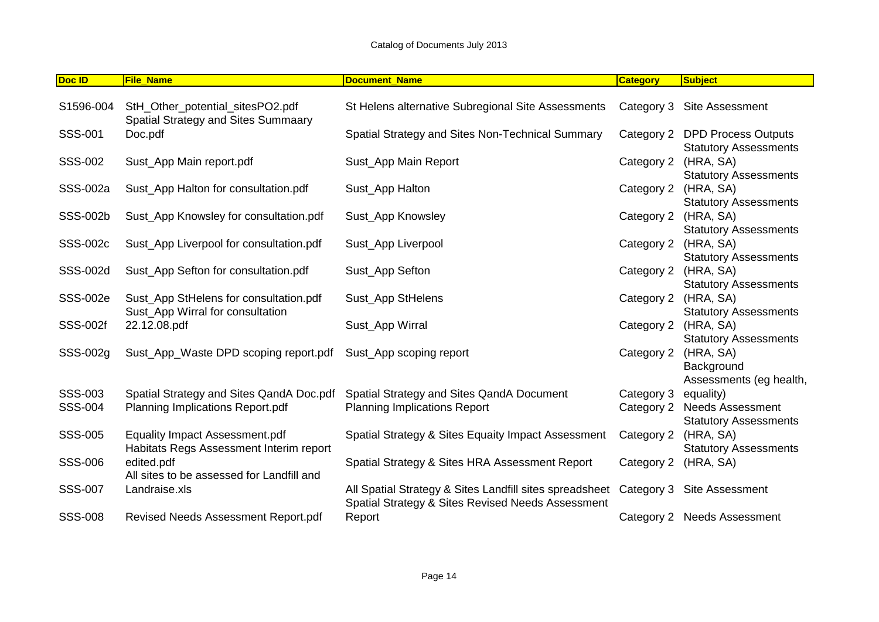| Doc ID                    | <b>File_Name</b>                                                                    | <b>Document Name</b>                                                                                         | <b>Category</b>          | Subject                                                         |
|---------------------------|-------------------------------------------------------------------------------------|--------------------------------------------------------------------------------------------------------------|--------------------------|-----------------------------------------------------------------|
| S1596-004                 | StH_Other_potential_sitesPO2.pdf<br>Spatial Strategy and Sites Summaary             | St Helens alternative Subregional Site Assessments                                                           |                          | Category 3 Site Assessment                                      |
| SSS-001                   | Doc.pdf                                                                             | Spatial Strategy and Sites Non-Technical Summary                                                             | Category 2               | <b>DPD Process Outputs</b><br><b>Statutory Assessments</b>      |
| SSS-002                   | Sust_App Main report.pdf                                                            | Sust_App Main Report                                                                                         | Category 2               | (HRA, SA)<br><b>Statutory Assessments</b>                       |
| SSS-002a                  | Sust_App Halton for consultation.pdf                                                | Sust_App Halton                                                                                              | Category 2               | (HRA, SA)                                                       |
| SSS-002b                  | Sust_App Knowsley for consultation.pdf                                              | Sust_App Knowsley                                                                                            | Category 2               | <b>Statutory Assessments</b><br>(HRA, SA)                       |
| SSS-002c                  | Sust_App Liverpool for consultation.pdf                                             | Sust_App Liverpool                                                                                           | Category 2               | <b>Statutory Assessments</b><br>(HRA, SA)                       |
| SSS-002d                  | Sust_App Sefton for consultation.pdf                                                | Sust_App Sefton                                                                                              | Category 2               | <b>Statutory Assessments</b><br>(HRA, SA)                       |
| <b>SSS-002e</b>           | Sust_App StHelens for consultation.pdf                                              | Sust_App StHelens                                                                                            | Category 2               | <b>Statutory Assessments</b><br>(HRA, SA)                       |
| <b>SSS-002f</b>           | Sust_App Wirral for consultation<br>22.12.08.pdf                                    | Sust_App Wirral                                                                                              | Category 2               | <b>Statutory Assessments</b><br>(HRA, SA)                       |
| SSS-002g                  | Sust_App_Waste DPD scoping report.pdf                                               | Sust_App scoping report                                                                                      | Category 2               | <b>Statutory Assessments</b><br>(HRA, SA)<br>Background         |
| SSS-003<br><b>SSS-004</b> | Spatial Strategy and Sites QandA Doc.pdf<br><b>Planning Implications Report.pdf</b> | Spatial Strategy and Sites QandA Document<br><b>Planning Implications Report</b>                             | Category 3<br>Category 2 | Assessments (eg health,<br>equality)<br><b>Needs Assessment</b> |
| <b>SSS-005</b>            | <b>Equality Impact Assessment.pdf</b>                                               | Spatial Strategy & Sites Equaity Impact Assessment                                                           | Category 2               | <b>Statutory Assessments</b><br>(HRA, SA)                       |
| SSS-006                   | Habitats Regs Assessment Interim report<br>edited.pdf                               | Spatial Strategy & Sites HRA Assessment Report                                                               | Category 2               | <b>Statutory Assessments</b><br>(HRA, SA)                       |
| <b>SSS-007</b>            | All sites to be assessed for Landfill and<br>Landraise.xls                          | All Spatial Strategy & Sites Landfill sites spreadsheet<br>Spatial Strategy & Sites Revised Needs Assessment |                          | Category 3 Site Assessment                                      |
| <b>SSS-008</b>            | Revised Needs Assessment Report.pdf                                                 | Report                                                                                                       | Category 2               | <b>Needs Assessment</b>                                         |